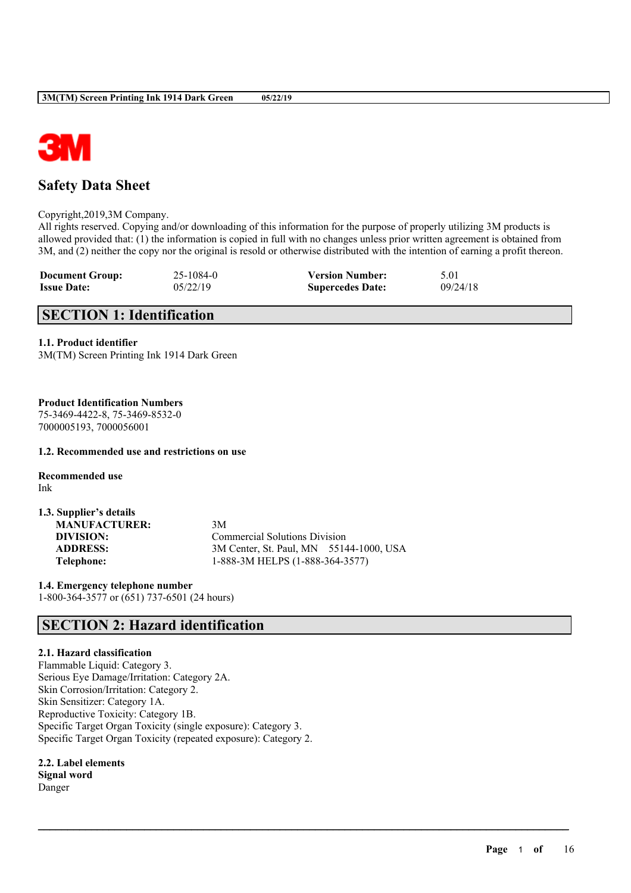

# **Safety Data Sheet**

Copyright,2019,3M Company.

All rights reserved. Copying and/or downloading of this information for the purpose of properly utilizing 3M products is allowed provided that: (1) the information is copied in full with no changes unless prior written agreement is obtained from 3M, and (2) neither the copy nor the original is resold or otherwise distributed with the intention of earning a profit thereon.

 $\mathcal{L}_\mathcal{L} = \mathcal{L}_\mathcal{L} = \mathcal{L}_\mathcal{L} = \mathcal{L}_\mathcal{L} = \mathcal{L}_\mathcal{L} = \mathcal{L}_\mathcal{L} = \mathcal{L}_\mathcal{L} = \mathcal{L}_\mathcal{L} = \mathcal{L}_\mathcal{L} = \mathcal{L}_\mathcal{L} = \mathcal{L}_\mathcal{L} = \mathcal{L}_\mathcal{L} = \mathcal{L}_\mathcal{L} = \mathcal{L}_\mathcal{L} = \mathcal{L}_\mathcal{L} = \mathcal{L}_\mathcal{L} = \mathcal{L}_\mathcal{L}$ 

| <b>Document Group:</b> | 25-1084-0 | <b>Version Number:</b>  | 5.01     |
|------------------------|-----------|-------------------------|----------|
| <b>Issue Date:</b>     | 05/22/19  | <b>Supercedes Date:</b> | 09/24/18 |

# **SECTION 1: Identification**

#### **1.1. Product identifier**

3M(TM) Screen Printing Ink 1914 Dark Green

## **Product Identification Numbers**

75-3469-4422-8, 75-3469-8532-0 7000005193, 7000056001

#### **1.2. Recommended use and restrictions on use**

**Recommended use** Ink

| 1.3. Supplier's details |                                         |
|-------------------------|-----------------------------------------|
| <b>MANUFACTURER:</b>    | 3M                                      |
| DIVISION:               | <b>Commercial Solutions Division</b>    |
| <b>ADDRESS:</b>         | 3M Center, St. Paul, MN 55144-1000, USA |
| Telephone:              | 1-888-3M HELPS (1-888-364-3577)         |

**1.4. Emergency telephone number** 1-800-364-3577 or (651) 737-6501 (24 hours)

# **SECTION 2: Hazard identification**

### **2.1. Hazard classification**

Flammable Liquid: Category 3. Serious Eye Damage/Irritation: Category 2A. Skin Corrosion/Irritation: Category 2. Skin Sensitizer: Category 1A. Reproductive Toxicity: Category 1B. Specific Target Organ Toxicity (single exposure): Category 3. Specific Target Organ Toxicity (repeated exposure): Category 2.

# **2.2. Label elements**

**Signal word** Danger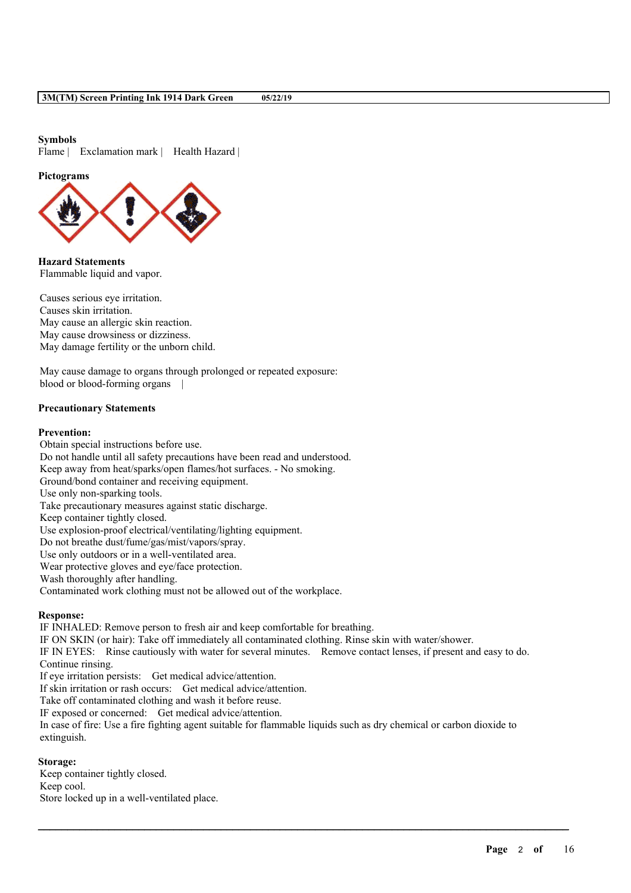#### **Symbols**

Flame | Exclamation mark | Health Hazard |

#### **Pictograms**



**Hazard Statements** Flammable liquid and vapor.

Causes serious eye irritation. Causes skin irritation. May cause an allergic skin reaction. May cause drowsiness or dizziness. May damage fertility or the unborn child.

May cause damage to organs through prolonged or repeated exposure: blood or blood-forming organs |

#### **Precautionary Statements**

#### **Prevention:**

Obtain special instructions before use. Do not handle until all safety precautions have been read and understood. Keep away from heat/sparks/open flames/hot surfaces. - No smoking. Ground/bond container and receiving equipment. Use only non-sparking tools. Take precautionary measures against static discharge. Keep container tightly closed. Use explosion-proof electrical/ventilating/lighting equipment. Do not breathe dust/fume/gas/mist/vapors/spray. Use only outdoors or in a well-ventilated area. Wear protective gloves and eye/face protection. Wash thoroughly after handling. Contaminated work clothing must not be allowed out of the workplace.

#### **Response:**

IF INHALED: Remove person to fresh air and keep comfortable for breathing. IF ON SKIN (or hair): Take off immediately all contaminated clothing. Rinse skin with water/shower. IF IN EYES: Rinse cautiously with water for several minutes. Remove contact lenses, if present and easy to do. Continue rinsing. If eye irritation persists: Get medical advice/attention. If skin irritation or rash occurs: Get medical advice/attention. Take off contaminated clothing and wash it before reuse. IF exposed or concerned: Get medical advice/attention. In case of fire: Use a fire fighting agent suitable for flammable liquids such as dry chemical or carbon dioxide to extinguish.

 $\mathcal{L}_\mathcal{L} = \mathcal{L}_\mathcal{L} = \mathcal{L}_\mathcal{L} = \mathcal{L}_\mathcal{L} = \mathcal{L}_\mathcal{L} = \mathcal{L}_\mathcal{L} = \mathcal{L}_\mathcal{L} = \mathcal{L}_\mathcal{L} = \mathcal{L}_\mathcal{L} = \mathcal{L}_\mathcal{L} = \mathcal{L}_\mathcal{L} = \mathcal{L}_\mathcal{L} = \mathcal{L}_\mathcal{L} = \mathcal{L}_\mathcal{L} = \mathcal{L}_\mathcal{L} = \mathcal{L}_\mathcal{L} = \mathcal{L}_\mathcal{L}$ 

#### **Storage:**

Keep container tightly closed. Keep cool. Store locked up in a well-ventilated place.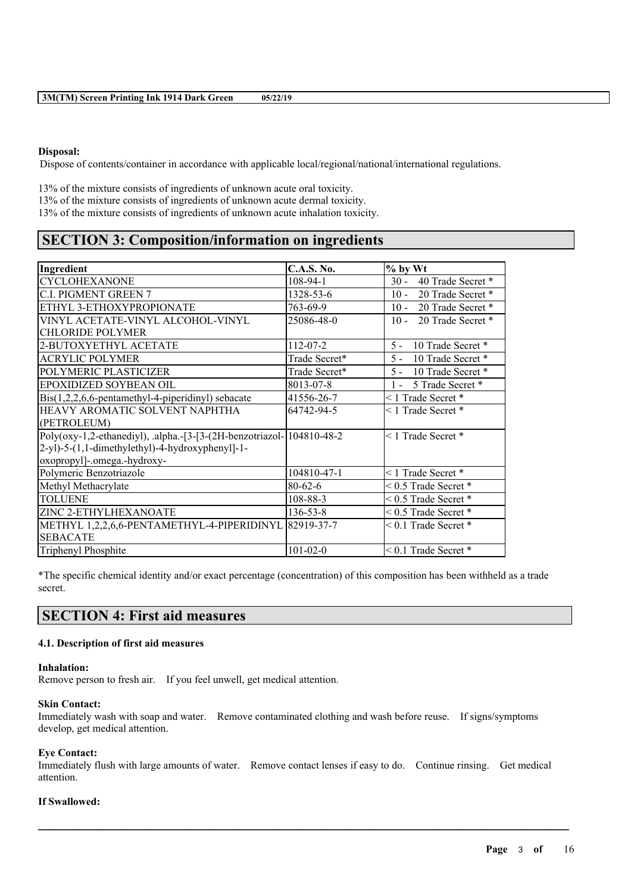#### **Disposal:**

Dispose of contents/container in accordance with applicable local/regional/national/international regulations.

13% of the mixture consists of ingredients of unknown acute oral toxicity. 13% of the mixture consists of ingredients of unknown acute dermal toxicity. 13% of the mixture consists of ingredients of unknown acute inhalation toxicity.

# **SECTION 3: Composition/information on ingredients**

| Ingredient                                                           | <b>C.A.S. No.</b> | $%$ by Wt                   |
|----------------------------------------------------------------------|-------------------|-----------------------------|
| <b>CYCLOHEXANONE</b>                                                 | 108-94-1          | 40 Trade Secret *<br>$30 -$ |
| <b>C.I. PIGMENT GREEN 7</b>                                          | 1328-53-6         | $10 -$<br>20 Trade Secret * |
| ETHYL 3-ETHOXYPROPIONATE                                             | 763-69-9          | 10 - 20 Trade Secret *      |
| VINYL ACETATE-VINYL ALCOHOL-VINYL                                    | 25086-48-0        | $10 -$<br>20 Trade Secret * |
| <b>CHLORIDE POLYMER</b>                                              |                   |                             |
| 2-BUTOXYETHYL ACETATE                                                | $112 - 07 - 2$    | $5 -$<br>10 Trade Secret *  |
| <b>ACRYLIC POLYMER</b>                                               | Trade Secret*     | 10 Trade Secret *<br>$5 -$  |
| POLYMERIC PLASTICIZER                                                | Trade Secret*     | 10 Trade Secret *<br>$5 -$  |
| EPOXIDIZED SOYBEAN OIL                                               | 8013-07-8         | 5 Trade Secret *<br>$1 -$   |
| $\text{Bis}(1,2,2,6,6\text{-pentamethyl-4-piperidiny})$ sebacate     | 41556-26-7        | $\leq$ 1 Trade Secret $*$   |
| HEAVY AROMATIC SOLVENT NAPHTHA                                       | 64742-94-5        | $\leq$ 1 Trade Secret $*$   |
| (PETROLEUM)                                                          |                   |                             |
| Poly(oxy-1,2-ethanediyl), .alpha.-[3-[3-(2H-benzotriazol-104810-48-2 |                   | $\leq$ 1 Trade Secret $*$   |
| 2-yl)-5-(1,1-dimethylethyl)-4-hydroxyphenyl]-1-                      |                   |                             |
| oxopropyl]-.omega.-hydroxy-                                          |                   |                             |
| Polymeric Benzotriazole                                              | 104810-47-1       | <1 Trade Secret *           |
| Methyl Methacrylate                                                  | $80 - 62 - 6$     | $< 0.5$ Trade Secret $*$    |
| <b>TOLUENE</b>                                                       | $108 - 88 - 3$    | $< 0.5$ Trade Secret $*$    |
| ZINC 2-ETHYLHEXANOATE                                                | $136 - 53 - 8$    | $< 0.5$ Trade Secret $*$    |
| METHYL 1,2,2,6,6-PENTAMETHYL-4-PIPERIDINYL 82919-37-7                |                   | $< 0.1$ Trade Secret $*$    |
| <b>SEBACATE</b>                                                      |                   |                             |
| Triphenyl Phosphite                                                  | $101 - 02 - 0$    | $< 0.1$ Trade Secret $*$    |

\*The specific chemical identity and/or exact percentage (concentration) of this composition has been withheld as a trade secret.

# **SECTION 4: First aid measures**

## **4.1. Description of first aid measures**

#### **Inhalation:**

Remove person to fresh air. If you feel unwell, get medical attention.

#### **Skin Contact:**

Immediately wash with soap and water. Remove contaminated clothing and wash before reuse. If signs/symptoms develop, get medical attention.

### **Eye Contact:**

Immediately flush with large amounts of water. Remove contact lenses if easy to do. Continue rinsing. Get medical attention.

 $\mathcal{L}_\mathcal{L} = \mathcal{L}_\mathcal{L} = \mathcal{L}_\mathcal{L} = \mathcal{L}_\mathcal{L} = \mathcal{L}_\mathcal{L} = \mathcal{L}_\mathcal{L} = \mathcal{L}_\mathcal{L} = \mathcal{L}_\mathcal{L} = \mathcal{L}_\mathcal{L} = \mathcal{L}_\mathcal{L} = \mathcal{L}_\mathcal{L} = \mathcal{L}_\mathcal{L} = \mathcal{L}_\mathcal{L} = \mathcal{L}_\mathcal{L} = \mathcal{L}_\mathcal{L} = \mathcal{L}_\mathcal{L} = \mathcal{L}_\mathcal{L}$ 

### **If Swallowed:**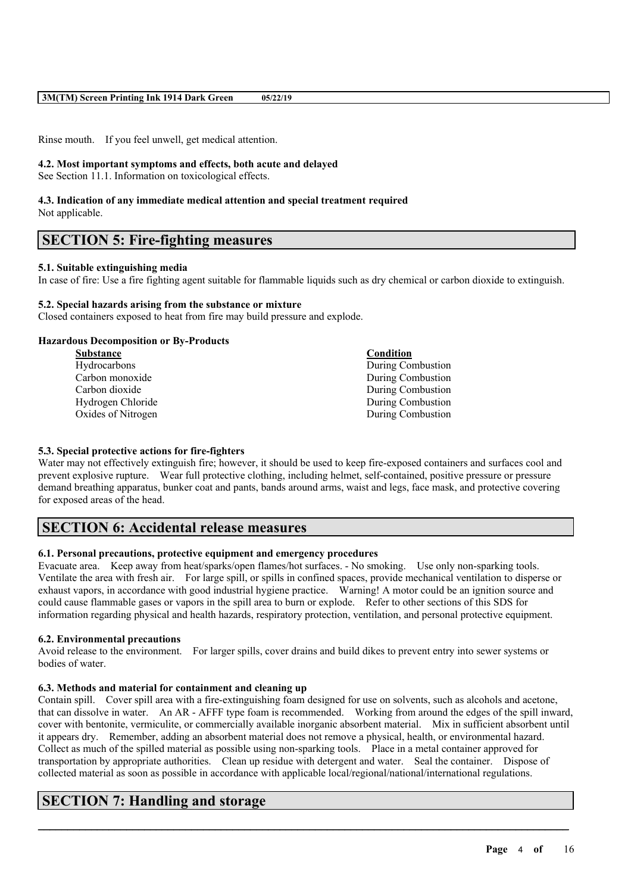Rinse mouth. If you feel unwell, get medical attention.

#### **4.2. Most important symptoms and effects, both acute and delayed**

See Section 11.1. Information on toxicological effects.

# **4.3. Indication of any immediate medical attention and special treatment required**

Not applicable.

# **SECTION 5: Fire-fighting measures**

### **5.1. Suitable extinguishing media**

In case of fire: Use a fire fighting agent suitable for flammable liquids such as dry chemical or carbon dioxide to extinguish.

### **5.2. Special hazards arising from the substance or mixture**

Closed containers exposed to heat from fire may build pressure and explode.

### **Hazardous Decomposition or By-Products**

| <b>Substance</b>   | Condition         |
|--------------------|-------------------|
| Hydrocarbons       | During Combustion |
| Carbon monoxide    | During Combustion |
| Carbon dioxide     | During Combustion |
| Hydrogen Chloride  | During Combustion |
| Oxides of Nitrogen | During Combustion |
|                    |                   |

### **5.3. Special protective actions for fire-fighters**

Water may not effectively extinguish fire; however, it should be used to keep fire-exposed containers and surfaces cool and prevent explosive rupture. Wear full protective clothing, including helmet, self-contained, positive pressure or pressure demand breathing apparatus, bunker coat and pants, bands around arms, waist and legs, face mask, and protective covering for exposed areas of the head.

# **SECTION 6: Accidental release measures**

### **6.1. Personal precautions, protective equipment and emergency procedures**

Evacuate area. Keep away from heat/sparks/open flames/hot surfaces. - No smoking. Use only non-sparking tools. Ventilate the area with fresh air. For large spill, or spills in confined spaces, provide mechanical ventilation to disperse or exhaust vapors, in accordance with good industrial hygiene practice. Warning! A motor could be an ignition source and could cause flammable gases or vapors in the spill area to burn or explode. Refer to other sections of this SDS for information regarding physical and health hazards, respiratory protection, ventilation, and personal protective equipment.

### **6.2. Environmental precautions**

Avoid release to the environment. For larger spills, cover drains and build dikes to prevent entry into sewer systems or bodies of water.

### **6.3. Methods and material for containment and cleaning up**

Contain spill. Cover spill area with a fire-extinguishing foam designed for use on solvents, such as alcohols and acetone, that can dissolve in water. An AR - AFFF type foam is recommended. Working from around the edges of the spill inward, cover with bentonite, vermiculite, or commercially available inorganic absorbent material. Mix in sufficient absorbent until it appears dry. Remember, adding an absorbent material does not remove a physical, health, or environmental hazard. Collect as much of the spilled material as possible using non-sparking tools. Place in a metal container approved for transportation by appropriate authorities. Clean up residue with detergent and water. Seal the container. Dispose of collected material as soon as possible in accordance with applicable local/regional/national/international regulations.

 $\mathcal{L}_\mathcal{L} = \mathcal{L}_\mathcal{L} = \mathcal{L}_\mathcal{L} = \mathcal{L}_\mathcal{L} = \mathcal{L}_\mathcal{L} = \mathcal{L}_\mathcal{L} = \mathcal{L}_\mathcal{L} = \mathcal{L}_\mathcal{L} = \mathcal{L}_\mathcal{L} = \mathcal{L}_\mathcal{L} = \mathcal{L}_\mathcal{L} = \mathcal{L}_\mathcal{L} = \mathcal{L}_\mathcal{L} = \mathcal{L}_\mathcal{L} = \mathcal{L}_\mathcal{L} = \mathcal{L}_\mathcal{L} = \mathcal{L}_\mathcal{L}$ 

# **SECTION 7: Handling and storage**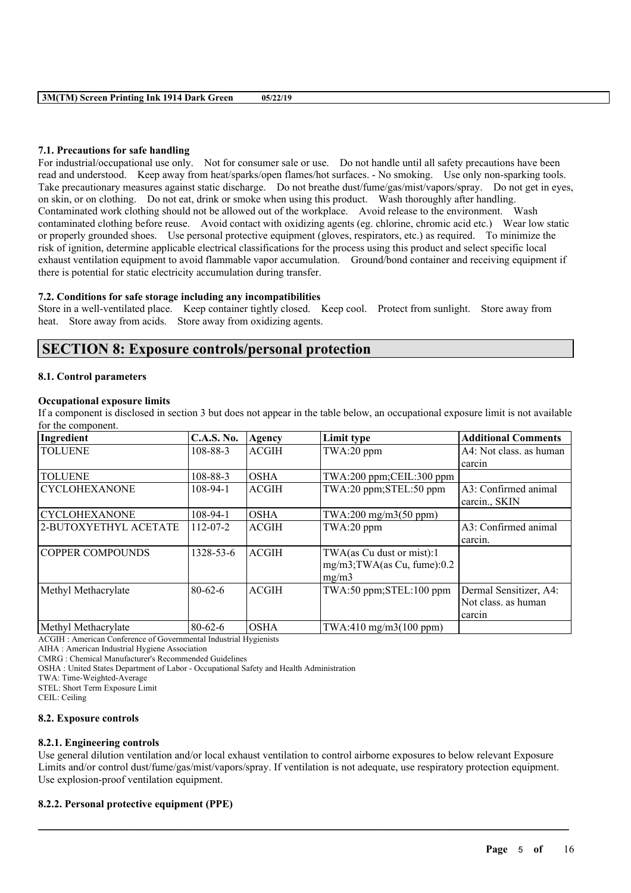### **7.1. Precautions for safe handling**

For industrial/occupational use only. Not for consumer sale or use. Do not handle until all safety precautions have been read and understood. Keep away from heat/sparks/open flames/hot surfaces. - No smoking. Use only non-sparking tools. Take precautionary measures against static discharge. Do not breathe dust/fume/gas/mist/vapors/spray. Do not get in eyes, on skin, or on clothing. Do not eat, drink or smoke when using this product. Wash thoroughly after handling. Contaminated work clothing should not be allowed out of the workplace. Avoid release to the environment. Wash contaminated clothing before reuse. Avoid contact with oxidizing agents (eg. chlorine, chromic acid etc.) Wear low static or properly grounded shoes. Use personal protective equipment (gloves, respirators, etc.) as required. To minimize the risk of ignition, determine applicable electrical classifications for the process using this product and select specific local exhaust ventilation equipment to avoid flammable vapor accumulation. Ground/bond container and receiving equipment if there is potential for static electricity accumulation during transfer.

### **7.2. Conditions for safe storage including any incompatibilities**

Store in a well-ventilated place. Keep container tightly closed. Keep cool. Protect from sunlight. Store away from heat. Store away from acids. Store away from oxidizing agents.

# **SECTION 8: Exposure controls/personal protection**

#### **8.1. Control parameters**

#### **Occupational exposure limits**

If a component is disclosed in section 3 but does not appear in the table below, an occupational exposure limit is not available for the component.

| Ingredient              | <b>C.A.S. No.</b> | Agency       | Limit type                                                            | <b>Additional Comments</b>                              |
|-------------------------|-------------------|--------------|-----------------------------------------------------------------------|---------------------------------------------------------|
| <b>TOLUENE</b>          | 108-88-3          | <b>ACGIH</b> | TWA:20 ppm                                                            | A4: Not class. as human                                 |
|                         |                   |              |                                                                       | carcin                                                  |
| <b>TOLUENE</b>          | 108-88-3          | <b>OSHA</b>  | TWA:200 ppm;CEIL:300 ppm                                              |                                                         |
| <b>CYCLOHEXANONE</b>    | $108-94-1$        | <b>ACGIH</b> | TWA:20 ppm;STEL:50 ppm                                                | A3: Confirmed animal<br>carcin., SKIN                   |
| <b>CYCLOHEXANONE</b>    | $108-94-1$        | <b>OSHA</b>  | $TWA:200$ mg/m $3(50$ ppm $)$                                         |                                                         |
| 2-BUTOXYETHYL ACETATE   | $112 - 07 - 2$    | <b>ACGIH</b> | TWA:20 ppm                                                            | A3: Confirmed animal<br>carcin.                         |
| <b>COPPER COMPOUNDS</b> | 1328-53-6         | <b>ACGIH</b> | TWA(as Cu dust or mist):1<br>$mg/m3$ ; TWA(as Cu, fume): 0.2<br>mg/m3 |                                                         |
| Methyl Methacrylate     | $80 - 62 - 6$     | <b>ACGIH</b> | TWA:50 ppm;STEL:100 ppm                                               | Dermal Sensitizer, A4:<br>Not class. as human<br>carcin |
| Methyl Methacrylate     | $80-62-6$         | <b>OSHA</b>  | $TWA:410$ mg/m $3(100$ ppm)                                           |                                                         |

ACGIH : American Conference of Governmental Industrial Hygienists

AIHA : American Industrial Hygiene Association

CMRG : Chemical Manufacturer's Recommended Guidelines

OSHA : United States Department of Labor - Occupational Safety and Health Administration

TWA: Time-Weighted-Average

STEL: Short Term Exposure Limit

CEIL: Ceiling

#### **8.2. Exposure controls**

#### **8.2.1. Engineering controls**

Use general dilution ventilation and/or local exhaust ventilation to control airborne exposures to below relevant Exposure Limits and/or control dust/fume/gas/mist/vapors/spray. If ventilation is not adequate, use respiratory protection equipment. Use explosion-proof ventilation equipment.

 $\mathcal{L}_\mathcal{L} = \mathcal{L}_\mathcal{L} = \mathcal{L}_\mathcal{L} = \mathcal{L}_\mathcal{L} = \mathcal{L}_\mathcal{L} = \mathcal{L}_\mathcal{L} = \mathcal{L}_\mathcal{L} = \mathcal{L}_\mathcal{L} = \mathcal{L}_\mathcal{L} = \mathcal{L}_\mathcal{L} = \mathcal{L}_\mathcal{L} = \mathcal{L}_\mathcal{L} = \mathcal{L}_\mathcal{L} = \mathcal{L}_\mathcal{L} = \mathcal{L}_\mathcal{L} = \mathcal{L}_\mathcal{L} = \mathcal{L}_\mathcal{L}$ 

#### **8.2.2. Personal protective equipment (PPE)**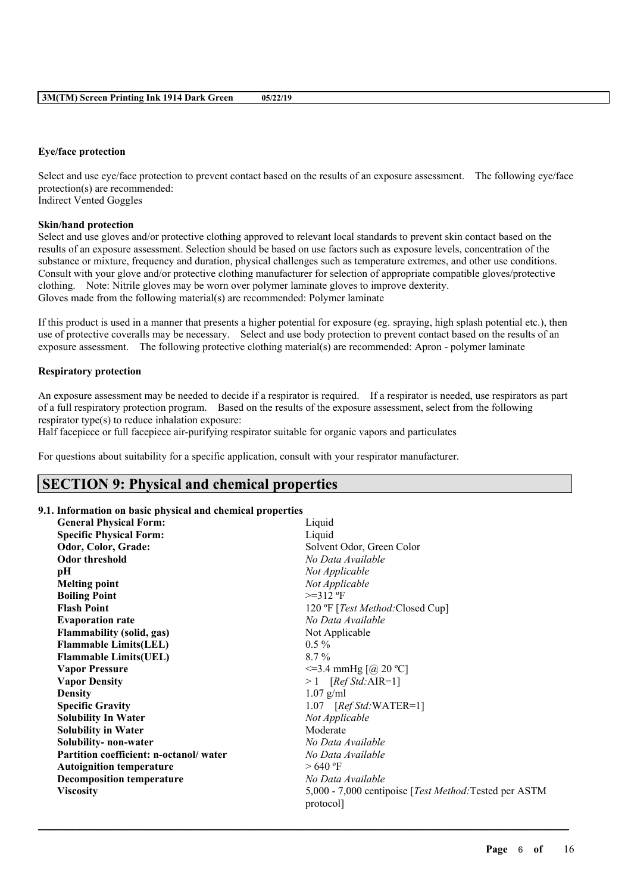#### **Eye/face protection**

Select and use eye/face protection to prevent contact based on the results of an exposure assessment. The following eye/face protection(s) are recommended: Indirect Vented Goggles

#### **Skin/hand protection**

Select and use gloves and/or protective clothing approved to relevant local standards to prevent skin contact based on the results of an exposure assessment. Selection should be based on use factors such as exposure levels, concentration of the substance or mixture, frequency and duration, physical challenges such as temperature extremes, and other use conditions. Consult with your glove and/or protective clothing manufacturer for selection of appropriate compatible gloves/protective clothing. Note: Nitrile gloves may be worn over polymer laminate gloves to improve dexterity. Gloves made from the following material(s) are recommended: Polymer laminate

If this product is used in a manner that presents a higher potential for exposure (eg. spraying, high splash potential etc.), then use of protective coveralls may be necessary. Select and use body protection to prevent contact based on the results of an exposure assessment. The following protective clothing material(s) are recommended: Apron - polymer laminate

#### **Respiratory protection**

An exposure assessment may be needed to decide if a respirator is required. If a respirator is needed, use respirators as part of a full respiratory protection program. Based on the results of the exposure assessment, select from the following respirator type(s) to reduce inhalation exposure:

Half facepiece or full facepiece air-purifying respirator suitable for organic vapors and particulates

For questions about suitability for a specific application, consult with your respirator manufacturer.

# **SECTION 9: Physical and chemical properties**

### **9.1. Information on basic physical and chemical properties**

| <b>General Physical Form:</b>          | Liquid                                                                      |  |
|----------------------------------------|-----------------------------------------------------------------------------|--|
| <b>Specific Physical Form:</b>         | Liquid                                                                      |  |
| Odor, Color, Grade:                    | Solvent Odor, Green Color                                                   |  |
| <b>Odor threshold</b>                  | No Data Available                                                           |  |
| pН                                     | Not Applicable                                                              |  |
| <b>Melting point</b>                   | Not Applicable                                                              |  |
| <b>Boiling Point</b>                   | $>=312$ °F                                                                  |  |
| <b>Flash Point</b>                     | 120 °F [ <i>Test Method</i> :Closed Cup]                                    |  |
| <b>Evaporation rate</b>                | No Data Available                                                           |  |
| Flammability (solid, gas)              | Not Applicable                                                              |  |
| <b>Flammable Limits(LEL)</b>           | $0.5\%$                                                                     |  |
| <b>Flammable Limits(UEL)</b>           | $8.7\%$                                                                     |  |
| <b>Vapor Pressure</b>                  | $\leq$ =3.4 mmHg [@ 20 °C]                                                  |  |
| <b>Vapor Density</b>                   | $>1$ [Ref Std:AIR=1]                                                        |  |
| <b>Density</b>                         | $1.07$ g/ml                                                                 |  |
| <b>Specific Gravity</b>                | 1.07 $[RefStd:WATER=1]$                                                     |  |
| <b>Solubility In Water</b>             | Not Applicable                                                              |  |
| <b>Solubility in Water</b>             | Moderate                                                                    |  |
| Solubility- non-water                  | No Data Available                                                           |  |
| Partition coefficient: n-octanol/water | No Data Available                                                           |  |
| <b>Autoignition temperature</b>        | $>640$ °F                                                                   |  |
| <b>Decomposition temperature</b>       | No Data Available                                                           |  |
| <b>Viscosity</b>                       | 5,000 - 7,000 centipoise [ <i>Test Method</i> : Tested per ASTM<br>protocol |  |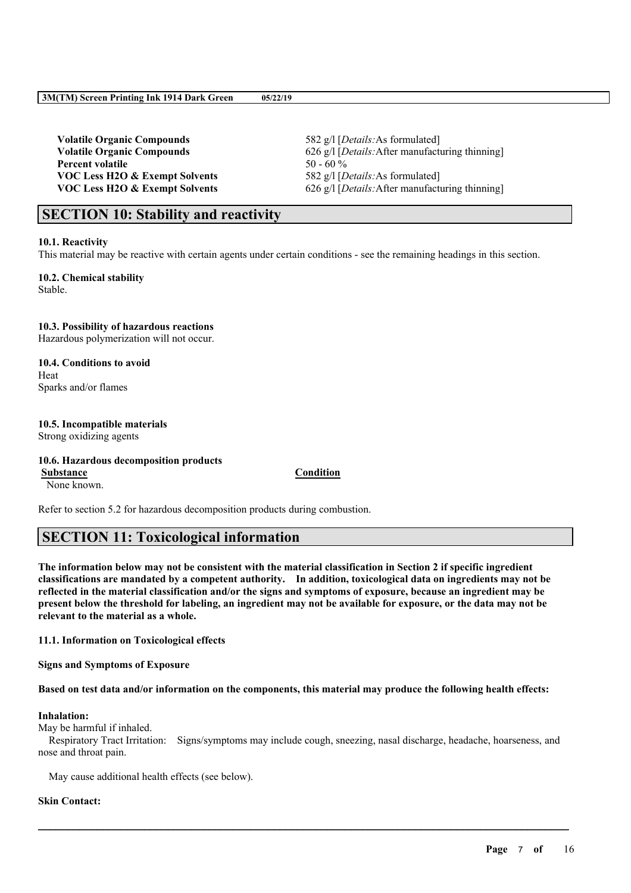**Volatile Organic Compounds** 582 g/l [*Details:*As formulated] **Percent volatile** 50 - 60 % **VOC Less H2O & Exempt Solvents** 582 g/l [*Details:*As formulated]

**Volatile Organic Compounds** 626 g/l [*Details:*After manufacturing thinning] **VOC Less H2O & Exempt Solvents** 626 g/l [*Details:*After manufacturing thinning]

# **SECTION 10: Stability and reactivity**

#### **10.1. Reactivity**

This material may be reactive with certain agents under certain conditions - see the remaining headings in this section.

**10.2. Chemical stability** Stable.

#### **10.3. Possibility of hazardous reactions**

Hazardous polymerization will not occur.

**10.4. Conditions to avoid** Heat Sparks and/or flames

#### **10.5. Incompatible materials** Strong oxidizing agents

#### **10.6. Hazardous decomposition products Substance Condition** None known.

Refer to section 5.2 for hazardous decomposition products during combustion.

# **SECTION 11: Toxicological information**

The information below may not be consistent with the material classification in Section 2 if specific ingredient **classifications are mandated by a competent authority. In addition, toxicological data on ingredients may not be** reflected in the material classification and/or the signs and symptoms of exposure, because an ingredient may be present below the threshold for labeling, an ingredient may not be available for exposure, or the data may not be **relevant to the material as a whole.**

### **11.1. Information on Toxicological effects**

**Signs and Symptoms of Exposure**

Based on test data and/or information on the components, this material may produce the following health effects:

### **Inhalation:**

May be harmful if inhaled.

Respiratory Tract Irritation: Signs/symptoms may include cough, sneezing, nasal discharge, headache, hoarseness, and nose and throat pain.

 $\mathcal{L}_\mathcal{L} = \mathcal{L}_\mathcal{L} = \mathcal{L}_\mathcal{L} = \mathcal{L}_\mathcal{L} = \mathcal{L}_\mathcal{L} = \mathcal{L}_\mathcal{L} = \mathcal{L}_\mathcal{L} = \mathcal{L}_\mathcal{L} = \mathcal{L}_\mathcal{L} = \mathcal{L}_\mathcal{L} = \mathcal{L}_\mathcal{L} = \mathcal{L}_\mathcal{L} = \mathcal{L}_\mathcal{L} = \mathcal{L}_\mathcal{L} = \mathcal{L}_\mathcal{L} = \mathcal{L}_\mathcal{L} = \mathcal{L}_\mathcal{L}$ 

May cause additional health effects (see below).

### **Skin Contact:**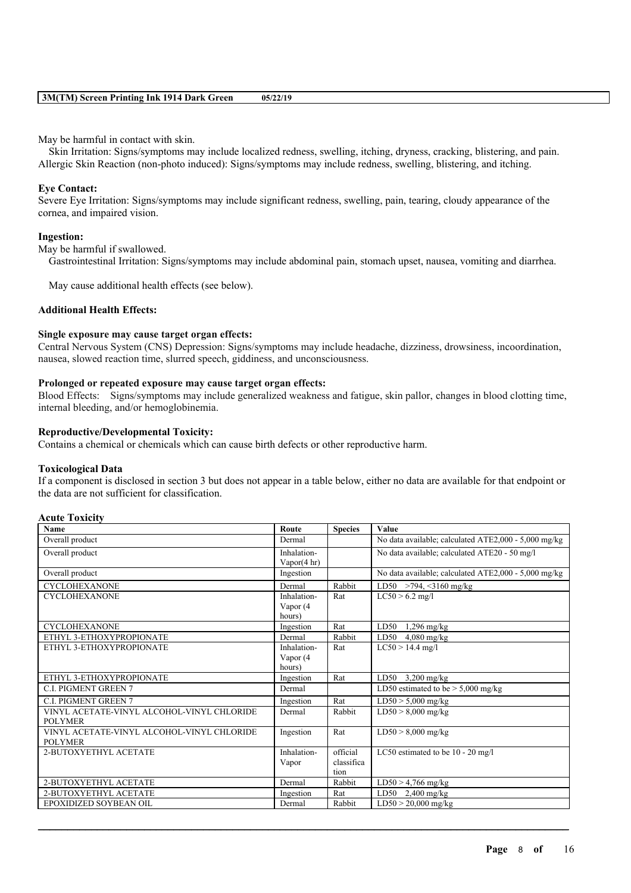May be harmful in contact with skin.

Skin Irritation: Signs/symptoms may include localized redness, swelling, itching, dryness, cracking, blistering, and pain. Allergic Skin Reaction (non-photo induced): Signs/symptoms may include redness, swelling, blistering, and itching.

#### **Eye Contact:**

Severe Eye Irritation: Signs/symptoms may include significant redness, swelling, pain, tearing, cloudy appearance of the cornea, and impaired vision.

#### **Ingestion:**

May be harmful if swallowed.

Gastrointestinal Irritation: Signs/symptoms may include abdominal pain, stomach upset, nausea, vomiting and diarrhea.

May cause additional health effects (see below).

#### **Additional Health Effects:**

#### **Single exposure may cause target organ effects:**

Central Nervous System (CNS) Depression: Signs/symptoms may include headache, dizziness, drowsiness, incoordination, nausea, slowed reaction time, slurred speech, giddiness, and unconsciousness.

#### **Prolonged or repeated exposure may cause target organ effects:**

Blood Effects: Signs/symptoms may include generalized weakness and fatigue, skin pallor, changes in blood clotting time, internal bleeding, and/or hemoglobinemia.

#### **Reproductive/Developmental Toxicity:**

Contains a chemical or chemicals which can cause birth defects or other reproductive harm.

#### **Toxicological Data**

If a component is disclosed in section 3 but does not appear in a table below, either no data are available for that endpoint or the data are not sufficient for classification.

#### **Acute Toxicity**

| <b>Name</b>                                | Route       | <b>Species</b> | Value                                                |
|--------------------------------------------|-------------|----------------|------------------------------------------------------|
| Overall product                            | Dermal      |                | No data available; calculated ATE2,000 - 5,000 mg/kg |
| Overall product                            | Inhalation- |                | No data available; calculated ATE20 - 50 mg/l        |
|                                            | Vapor(4 hr) |                |                                                      |
| Overall product                            | Ingestion   |                | No data available; calculated ATE2,000 - 5,000 mg/kg |
| <b>CYCLOHEXANONE</b>                       | Dermal      | Rabbit         | LD50 >794, <3160 mg/kg                               |
| <b>CYCLOHEXANONE</b>                       | Inhalation- | Rat            | $LC50 > 6.2$ mg/l                                    |
|                                            | Vapor (4    |                |                                                      |
|                                            | hours)      |                |                                                      |
| <b>CYCLOHEXANONE</b>                       | Ingestion   | Rat            | LD50<br>$1,296$ mg/kg                                |
| ETHYL 3-ETHOXYPROPIONATE                   | Dermal      | Rabbit         | LD50 $4,080$ mg/kg                                   |
| ETHYL 3-ETHOXYPROPIONATE                   | Inhalation- | Rat            | $LC50 > 14.4$ mg/l                                   |
|                                            | Vapor (4    |                |                                                      |
|                                            | hours)      |                |                                                      |
| ETHYL 3-ETHOXYPROPIONATE                   | Ingestion   | Rat            | LD50 $3,200$ mg/kg                                   |
| <b>C.I. PIGMENT GREEN 7</b>                | Dermal      |                | LD50 estimated to be $>$ 5,000 mg/kg                 |
| <b>C.I. PIGMENT GREEN 7</b>                | Ingestion   | Rat            | $LD50 > 5,000$ mg/kg                                 |
| VINYL ACETATE-VINYL ALCOHOL-VINYL CHLORIDE | Dermal      | Rabbit         | $LD50 > 8,000$ mg/kg                                 |
| <b>POLYMER</b>                             |             |                |                                                      |
| VINYL ACETATE-VINYL ALCOHOL-VINYL CHLORIDE | Ingestion   | Rat            | $LD50 > 8,000$ mg/kg                                 |
| <b>POLYMER</b>                             |             |                |                                                      |
| 2-BUTOXYETHYL ACETATE                      | Inhalation- | official       | LC50 estimated to be $10 - 20$ mg/l                  |
|                                            | Vapor       | classifica     |                                                      |
|                                            |             | tion           |                                                      |
| 2-BUTOXYETHYL ACETATE                      | Dermal      | Rabbit         | $LD50 > 4,766$ mg/kg                                 |
| 2-BUTOXYETHYL ACETATE                      | Ingestion   | Rat            | LD50 2,400 mg/kg                                     |
| EPOXIDIZED SOYBEAN OIL                     | Dermal      | Rabbit         | $LD50 > 20,000$ mg/kg                                |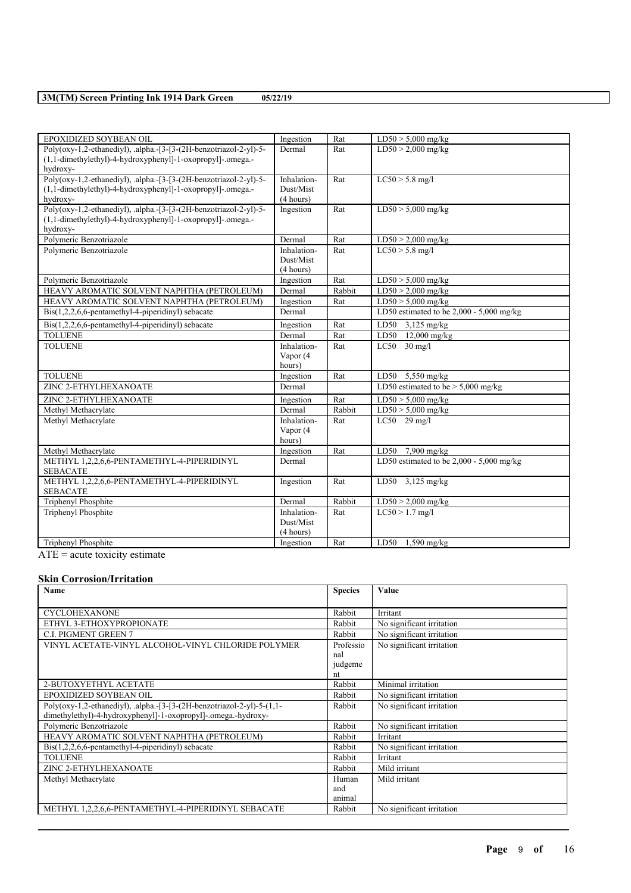| EPOXIDIZED SOYBEAN OIL                                            | Ingestion   | Rat    | $LD50 > 5,000$ mg/kg                       |
|-------------------------------------------------------------------|-------------|--------|--------------------------------------------|
| Poly(oxy-1,2-ethanediyl), .alpha.-[3-[3-(2H-benzotriazol-2-yl)-5- | Dermal      | Rat    | $LD50 > 2,000$ mg/kg                       |
| (1,1-dimethylethyl)-4-hydroxyphenyl]-1-oxopropyl]-.omega.-        |             |        |                                            |
| hydroxy-                                                          |             |        |                                            |
| Poly(oxy-1,2-ethanediyl), .alpha.-[3-[3-(2H-benzotriazol-2-yl)-5- | Inhalation- | Rat    | $LC50 > 5.8$ mg/l                          |
| (1,1-dimethylethyl)-4-hydroxyphenyl]-1-oxopropyl]-.omega.-        | Dust/Mist   |        |                                            |
| hydroxy-                                                          | (4 hours)   |        |                                            |
| Poly(oxy-1,2-ethanediyl), .alpha.-[3-[3-(2H-benzotriazol-2-yl)-5- | Ingestion   | Rat    | $LD50 > 5,000$ mg/kg                       |
| $(1,1$ -dimethylethyl)-4-hydroxyphenyl]-1-oxopropyl]-.omega.-     |             |        |                                            |
| hydroxy-                                                          |             |        |                                            |
| Polymeric Benzotriazole                                           | Dermal      | Rat    | $LD50 > 2,000$ mg/kg                       |
| Polymeric Benzotriazole                                           | Inhalation- | Rat    | $LC50 > 5.8$ mg/l                          |
|                                                                   | Dust/Mist   |        |                                            |
|                                                                   | (4 hours)   |        |                                            |
| Polymeric Benzotriazole                                           | Ingestion   | Rat    | $LD50 > 5,000$ mg/kg                       |
| HEAVY AROMATIC SOLVENT NAPHTHA (PETROLEUM)                        | Dermal      | Rabbit | $LD50 > 2,000$ mg/kg                       |
| HEAVY AROMATIC SOLVENT NAPHTHA (PETROLEUM)                        | Ingestion   | Rat    | $LD50 > 5,000$ mg/kg                       |
| $\text{Bis}(1,2,2,6,6\text{-pentamethyl-4-piperidinyl})$ sebacate | Dermal      |        | LD50 estimated to be 2,000 - 5,000 mg/kg   |
| $\text{Bis}(1,2,2,6,6\text{-pentamethyl-4-piperidiny!)}$ sebacate | Ingestion   | Rat    | LD50 3,125 mg/kg                           |
| <b>TOLUENE</b>                                                    | Dermal      | Rat    | LD50 12,000 mg/kg                          |
| <b>TOLUENE</b>                                                    | Inhalation- | Rat    | $LC50$ 30 mg/l                             |
|                                                                   | Vapor (4    |        |                                            |
|                                                                   | hours)      |        |                                            |
| <b>TOLUENE</b>                                                    | Ingestion   | Rat    | LD50 5,550 mg/kg                           |
| ZINC 2-ETHYLHEXANOATE                                             | Dermal      |        | LD50 estimated to be $> 5,000$ mg/kg       |
| ZINC 2-ETHYLHEXANOATE                                             | Ingestion   | Rat    | $LD50 > 5,000$ mg/kg                       |
| Methyl Methacrylate                                               | Dermal      | Rabbit | $LD50 > 5,000$ mg/kg                       |
| Methyl Methacrylate                                               | Inhalation- | Rat    | $LC50$ 29 mg/l                             |
|                                                                   | Vapor (4    |        |                                            |
|                                                                   | hours)      |        |                                            |
| Methyl Methacrylate                                               | Ingestion   | Rat    | LD50 7,900 mg/kg                           |
| METHYL 1,2,2,6,6-PENTAMETHYL-4-PIPERIDINYL                        | Dermal      |        | LD50 estimated to be $2,000 - 5,000$ mg/kg |
| <b>SEBACATE</b>                                                   |             |        |                                            |
| METHYL 1,2,2,6,6-PENTAMETHYL-4-PIPERIDINYL                        | Ingestion   | Rat    | LD50 3,125 mg/kg                           |
| <b>SEBACATE</b>                                                   |             |        |                                            |
| Triphenyl Phosphite                                               | Dermal      | Rabbit | $LD50 > 2,000$ mg/kg                       |
| Triphenyl Phosphite                                               | Inhalation- | Rat    | $LC50 > 1.7$ mg/l                          |
|                                                                   | Dust/Mist   |        |                                            |
|                                                                   | (4 hours)   |        |                                            |
| Triphenyl Phosphite                                               | Ingestion   | Rat    | LD50 $1,590$ mg/kg                         |

 $\overline{ATE}$  = acute toxicity estimate

## **Skin Corrosion/Irritation**

| <b>Name</b>                                                            | <b>Species</b> | <b>Value</b>              |
|------------------------------------------------------------------------|----------------|---------------------------|
| <b>CYCLOHEXANONE</b>                                                   | Rabbit         | Irritant                  |
|                                                                        |                |                           |
| ETHYL 3-ETHOXYPROPIONATE                                               | Rabbit         | No significant irritation |
| <b>C.I. PIGMENT GREEN 7</b>                                            | Rabbit         | No significant irritation |
| VINYL ACETATE-VINYL ALCOHOL-VINYL CHLORIDE POLYMER                     | Professio      | No significant irritation |
|                                                                        | nal            |                           |
|                                                                        | judgeme        |                           |
|                                                                        | nt             |                           |
| 2-BUTOXYETHYL ACETATE                                                  | Rabbit         | Minimal irritation        |
| EPOXIDIZED SOYBEAN OIL                                                 | Rabbit         | No significant irritation |
| Poly(oxy-1,2-ethanediyl), .alpha.-[3-[3-(2H-benzotriazol-2-yl)-5-(1,1- | Rabbit         | No significant irritation |
| dimethylethyl)-4-hydroxyphenyl]-1-oxopropyl]-.omega.-hydroxy-          |                |                           |
| Polymeric Benzotriazole                                                | Rabbit         | No significant irritation |
| HEAVY AROMATIC SOLVENT NAPHTHA (PETROLEUM)                             | Rabbit         | Irritant                  |
| $\text{Bis}(1,2,2,6,6\text{-pentamethyl-4-piperidinyl})$ sebacate      | Rabbit         | No significant irritation |
| <b>TOLUENE</b>                                                         | Rabbit         | Irritant                  |
| ZINC 2-ETHYLHEXANOATE                                                  | Rabbit         | Mild irritant             |
| Methyl Methacrylate                                                    | Human          | Mild irritant             |
|                                                                        | and            |                           |
|                                                                        | animal         |                           |
| METHYL 1,2,2,6,6-PENTAMETHYL-4-PIPERIDINYL SEBACATE                    | Rabbit         | No significant irritation |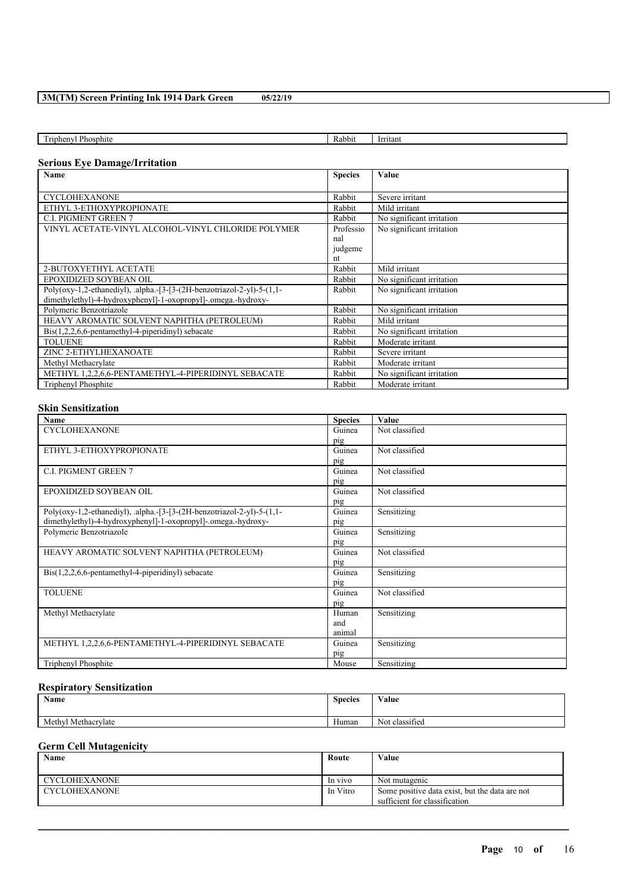| $\sim$<br>Phosphite<br>rinheny. | Rabbit | <u>Irritant</u> |
|---------------------------------|--------|-----------------|
|                                 |        |                 |

## **Serious Eye Damage/Irritation**

| <b>Name</b>                                                            | <b>Species</b> | <b>Value</b>              |
|------------------------------------------------------------------------|----------------|---------------------------|
|                                                                        |                |                           |
| <b>CYCLOHEXANONE</b>                                                   | Rabbit         | Severe irritant           |
| ETHYL 3-ETHOXYPROPIONATE                                               | Rabbit         | Mild irritant             |
| <b>C.I. PIGMENT GREEN 7</b>                                            | Rabbit         | No significant irritation |
| VINYL ACETATE-VINYL ALCOHOL-VINYL CHLORIDE POLYMER                     | Professio      | No significant irritation |
|                                                                        | nal            |                           |
|                                                                        | judgeme        |                           |
|                                                                        | nt             |                           |
| 2-BUTOXYETHYL ACETATE                                                  | Rabbit         | Mild irritant             |
| EPOXIDIZED SOYBEAN OIL                                                 | Rabbit         | No significant irritation |
| Poly(oxy-1,2-ethanediyl), .alpha.-[3-[3-(2H-benzotriazol-2-yl)-5-(1,1- | Rabbit         | No significant irritation |
| dimethylethyl)-4-hydroxyphenyl]-1-oxopropyl]-.omega.-hydroxy-          |                |                           |
| Polymeric Benzotriazole                                                | Rabbit         | No significant irritation |
| HEAVY AROMATIC SOLVENT NAPHTHA (PETROLEUM)                             | Rabbit         | Mild irritant             |
| $\text{Bis}(1,2,2,6,6\text{-pentamethyl-4-piperidiny})$ sebacate       | Rabbit         | No significant irritation |
| <b>TOLUENE</b>                                                         | Rabbit         | Moderate irritant         |
| ZINC 2-ETHYLHEXANOATE                                                  | Rabbit         | Severe irritant           |
| Methyl Methacrylate                                                    | Rabbit         | Moderate irritant         |
| METHYL 1,2,2,6,6-PENTAMETHYL-4-PIPERIDINYL SEBACATE                    | Rabbit         | No significant irritation |
| Triphenyl Phosphite                                                    | Rabbit         | Moderate irritant         |

## **Skin Sensitization**

| Name                                                                   | <b>Species</b> | Value          |
|------------------------------------------------------------------------|----------------|----------------|
| <b>CYCLOHEXANONE</b>                                                   | Guinea         | Not classified |
|                                                                        | pig            |                |
| ETHYL 3-ETHOXYPROPIONATE                                               | Guinea         | Not classified |
|                                                                        | pig            |                |
| <b>C.I. PIGMENT GREEN 7</b>                                            | Guinea         | Not classified |
|                                                                        | pig            |                |
| EPOXIDIZED SOYBEAN OIL                                                 | Guinea         | Not classified |
|                                                                        | pig            |                |
| Poly(oxy-1,2-ethanediyl), .alpha.-[3-[3-(2H-benzotriazol-2-yl)-5-(1,1- | Guinea         | Sensitizing    |
| dimethylethyl)-4-hydroxyphenyl]-1-oxopropyl]-.omega.-hydroxy-          | pig            |                |
| Polymeric Benzotriazole                                                | Guinea         | Sensitizing    |
|                                                                        | pig            |                |
| HEAVY AROMATIC SOLVENT NAPHTHA (PETROLEUM)                             | Guinea         | Not classified |
|                                                                        | pig            |                |
| $\text{Bis}(1,2,2,6,6\text{-pentamethyl-4-piperidiny})$ sebacate       | Guinea         | Sensitizing    |
|                                                                        | pig            |                |
| <b>TOLUENE</b>                                                         | Guinea         | Not classified |
|                                                                        | pig            |                |
| Methyl Methacrylate                                                    | Human          | Sensitizing    |
|                                                                        | and            |                |
|                                                                        | animal         |                |
| METHYL 1,2,2,6,6-PENTAMETHYL-4-PIPERIDINYL SEBACATE                    | Guinea         | Sensitizing    |
|                                                                        | pig            |                |
| Triphenyl Phosphite                                                    | Mouse          | Sensitizing    |

#### **Respiratory Sensitization**

| $\mathbf{r}$<br>Name       | <b>Species</b> | Value                    |
|----------------------------|----------------|--------------------------|
| l Methacrylate<br>Methyl " | Human          | $\sim$<br>Not classified |

## **Germ Cell Mutagenicity**

| <b>Name</b>          | Route    | Value                                                                           |
|----------------------|----------|---------------------------------------------------------------------------------|
| <b>CYCLOHEXANONE</b> | In vivo  | Not mutagenic                                                                   |
| CYCLOHEXANONE        | In Vitro | Some positive data exist, but the data are not<br>sufficient for classification |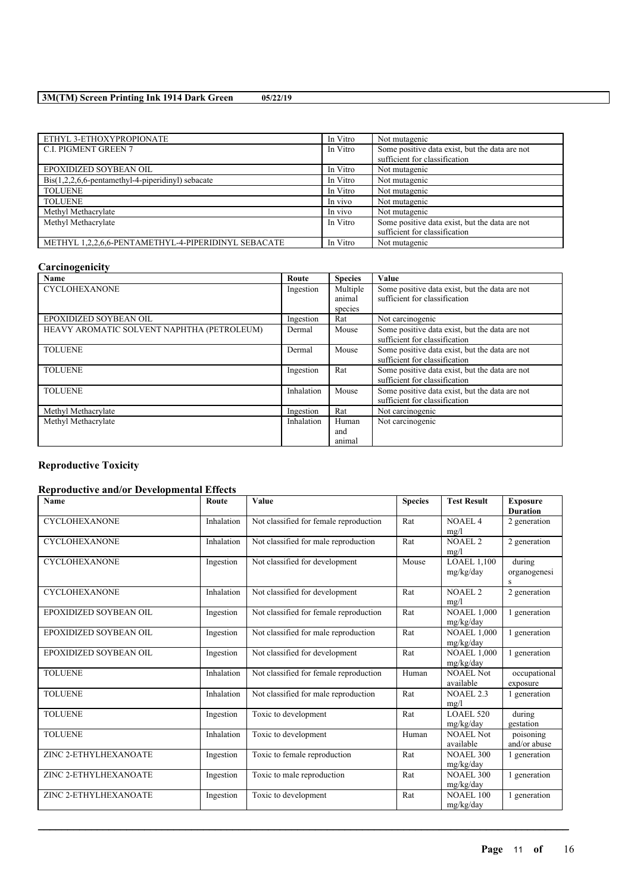| ETHYL 3-ETHOXYPROPIONATE                                                  | In Vitro |                                                |
|---------------------------------------------------------------------------|----------|------------------------------------------------|
|                                                                           |          | Not mutagenic                                  |
| <b>C.I. PIGMENT GREEN 7</b>                                               | In Vitro | Some positive data exist, but the data are not |
|                                                                           |          | sufficient for classification                  |
| EPOXIDIZED SOYBEAN OIL                                                    | In Vitro | Not mutagenic                                  |
| $\text{Bis}(1,2,2,6,6\text{-pentamethyl-4-piperidiny!) \text{ sebacate}}$ | In Vitro | Not mutagenic                                  |
| <b>TOLUENE</b>                                                            | In Vitro | Not mutagenic                                  |
| <b>TOLUENE</b>                                                            | In vivo  | Not mutagenic                                  |
| Methyl Methacrylate                                                       | In vivo  | Not mutagenic                                  |
| Methyl Methacrylate                                                       | In Vitro | Some positive data exist, but the data are not |
|                                                                           |          | sufficient for classification                  |
| METHYL 1,2,2,6,6-PENTAMETHYL-4-PIPERIDINYL SEBACATE                       | In Vitro | Not mutagenic                                  |

# **Carcinogenicity**

| Name                                       | Route      | <b>Species</b> | Value                                                                           |
|--------------------------------------------|------------|----------------|---------------------------------------------------------------------------------|
| <b>CYCLOHEXANONE</b>                       | Ingestion  | Multiple       | Some positive data exist, but the data are not                                  |
|                                            |            | animal         | sufficient for classification                                                   |
|                                            |            | species        |                                                                                 |
| EPOXIDIZED SOYBEAN OIL                     | Ingestion  | Rat            | Not carcinogenic                                                                |
| HEAVY AROMATIC SOLVENT NAPHTHA (PETROLEUM) | Dermal     | Mouse          | Some positive data exist, but the data are not<br>sufficient for classification |
| <b>TOLUENE</b>                             | Dermal     | Mouse          | Some positive data exist, but the data are not<br>sufficient for classification |
| <b>TOLUENE</b>                             | Ingestion  | Rat            | Some positive data exist, but the data are not<br>sufficient for classification |
| <b>TOLUENE</b>                             | Inhalation | Mouse          | Some positive data exist, but the data are not<br>sufficient for classification |
| Methyl Methacrylate                        | Ingestion  | Rat            | Not carcinogenic                                                                |
| Methyl Methacrylate                        | Inhalation | Human          | Not carcinogenic                                                                |
|                                            |            | and            |                                                                                 |
|                                            |            | animal         |                                                                                 |

## **Reproductive Toxicity**

## **Reproductive and/or Developmental Effects**

| Name                   | Route      | Value                                  | <b>Species</b> | <b>Test Result</b>              | <b>Exposure</b><br><b>Duration</b> |
|------------------------|------------|----------------------------------------|----------------|---------------------------------|------------------------------------|
| <b>CYCLOHEXANONE</b>   | Inhalation | Not classified for female reproduction | Rat            | NOAEL <sub>4</sub><br>mg/l      | 2 generation                       |
| <b>CYCLOHEXANONE</b>   | Inhalation | Not classified for male reproduction   | Rat            | <b>NOAEL 2</b><br>mg/l          | 2 generation                       |
| <b>CYCLOHEXANONE</b>   | Ingestion  | Not classified for development         | Mouse          | <b>LOAEL 1,100</b><br>mg/kg/day | during<br>organogenesi<br>S        |
| <b>CYCLOHEXANONE</b>   | Inhalation | Not classified for development         | Rat            | <b>NOAEL 2</b><br>mg/l          | 2 generation                       |
| EPOXIDIZED SOYBEAN OIL | Ingestion  | Not classified for female reproduction | Rat            | <b>NOAEL 1,000</b><br>mg/kg/day | 1 generation                       |
| EPOXIDIZED SOYBEAN OIL | Ingestion  | Not classified for male reproduction   | Rat            | <b>NOAEL 1,000</b><br>mg/kg/day | 1 generation                       |
| EPOXIDIZED SOYBEAN OIL | Ingestion  | Not classified for development         | Rat            | <b>NOAEL 1.000</b><br>mg/kg/day | 1 generation                       |
| <b>TOLUENE</b>         | Inhalation | Not classified for female reproduction | Human          | <b>NOAEL Not</b><br>available   | occupational<br>exposure           |
| <b>TOLUENE</b>         | Inhalation | Not classified for male reproduction   | Rat            | <b>NOAEL 2.3</b><br>mg/l        | 1 generation                       |
| <b>TOLUENE</b>         | Ingestion  | Toxic to development                   | Rat            | <b>LOAEL 520</b><br>mg/kg/day   | during<br>gestation                |
| <b>TOLUENE</b>         | Inhalation | Toxic to development                   | Human          | <b>NOAEL Not</b><br>available   | poisoning<br>and/or abuse          |
| ZINC 2-ETHYLHEXANOATE  | Ingestion  | Toxic to female reproduction           | Rat            | <b>NOAEL 300</b><br>mg/kg/day   | 1 generation                       |
| ZINC 2-ETHYLHEXANOATE  | Ingestion  | Toxic to male reproduction             | Rat            | <b>NOAEL 300</b><br>mg/kg/day   | 1 generation                       |
| ZINC 2-ETHYLHEXANOATE  | Ingestion  | Toxic to development                   | Rat            | <b>NOAEL 100</b><br>mg/kg/day   | 1 generation                       |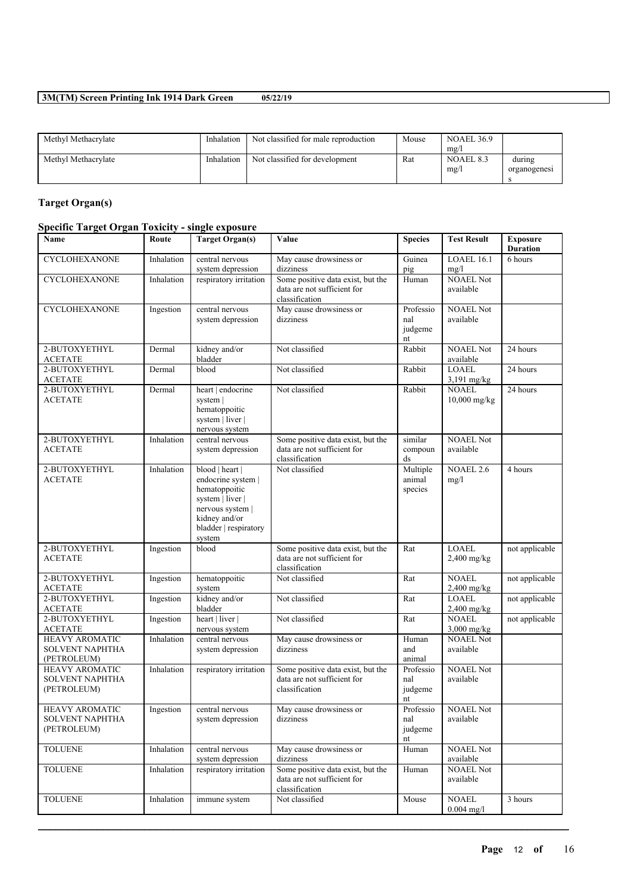| Methyl Methacrylate | Inhalation | Not classified for male reproduction | Mouse | <b>NOAEL 36.9</b><br>mg/ |                        |
|---------------------|------------|--------------------------------------|-------|--------------------------|------------------------|
| Methyl Methacrylate | Inhalation | Not classified for development       | Rat   | NOAEL 8.3<br>mg/l        | during<br>organogenesi |

# **Target Organ(s)**

## **Specific Target Organ Toxicity - single exposure**

| Name                                                           | Route      | <b>Target Organ(s)</b>                                                                                                                             | Value                                                                              | <b>Species</b>                    | <b>Test Result</b>            | <b>Exposure</b><br><b>Duration</b> |
|----------------------------------------------------------------|------------|----------------------------------------------------------------------------------------------------------------------------------------------------|------------------------------------------------------------------------------------|-----------------------------------|-------------------------------|------------------------------------|
| <b>CYCLOHEXANONE</b>                                           | Inhalation | central nervous<br>system depression                                                                                                               | May cause drowsiness or<br>dizziness                                               | Guinea<br>pig                     | LOAEL 16.1<br>mg/l            | 6 hours                            |
| <b>CYCLOHEXANONE</b>                                           | Inhalation | respiratory irritation                                                                                                                             | Some positive data exist, but the<br>data are not sufficient for<br>classification | Human                             | <b>NOAEL Not</b><br>available |                                    |
| <b>CYCLOHEXANONE</b>                                           | Ingestion  | central nervous<br>system depression                                                                                                               | May cause drowsiness or<br>dizziness                                               | Professio<br>nal<br>judgeme<br>nt | <b>NOAEL Not</b><br>available |                                    |
| 2-BUTOXYETHYL<br><b>ACETATE</b>                                | Dermal     | kidney and/or<br>bladder                                                                                                                           | Not classified                                                                     | Rabbit                            | <b>NOAEL Not</b><br>available | 24 hours                           |
| 2-BUTOXYETHYL<br><b>ACETATE</b>                                | Dermal     | blood                                                                                                                                              | Not classified                                                                     | Rabbit                            | <b>LOAEL</b><br>3,191 mg/kg   | 24 hours                           |
| 2-BUTOXYETHYL<br><b>ACETATE</b>                                | Dermal     | heart   endocrine<br>system  <br>hematoppoitic<br>system   liver  <br>nervous system                                                               | Not classified                                                                     | Rabbit                            | <b>NOAEL</b><br>10,000 mg/kg  | 24 hours                           |
| 2-BUTOXYETHYL<br><b>ACETATE</b>                                | Inhalation | central nervous<br>system depression                                                                                                               | Some positive data exist, but the<br>data are not sufficient for<br>classification | similar<br>compoun<br>ds          | <b>NOAEL Not</b><br>available |                                    |
| 2-BUTOXYETHYL<br><b>ACETATE</b>                                | Inhalation | blood   heart  <br>endocrine system  <br>hematoppoitic<br>system   liver  <br>nervous system  <br>kidney and/or<br>bladder   respiratory<br>system | Not classified                                                                     | Multiple<br>animal<br>species     | <b>NOAEL 2.6</b><br>mg/l      | 4 hours                            |
| 2-BUTOXYETHYL<br><b>ACETATE</b>                                | Ingestion  | blood                                                                                                                                              | Some positive data exist, but the<br>data are not sufficient for<br>classification | Rat                               | <b>LOAEL</b><br>2,400 mg/kg   | not applicable                     |
| 2-BUTOXYETHYL<br><b>ACETATE</b>                                | Ingestion  | hematoppoitic<br>system                                                                                                                            | Not classified                                                                     | Rat                               | <b>NOAEL</b><br>2,400 mg/kg   | not applicable                     |
| 2-BUTOXYETHYL<br><b>ACETATE</b>                                | Ingestion  | kidney and/or<br>bladder                                                                                                                           | Not classified                                                                     | Rat                               | <b>LOAEL</b><br>$2,400$ mg/kg | not applicable                     |
| 2-BUTOXYETHYL<br><b>ACETATE</b>                                | Ingestion  | heart   liver  <br>nervous system                                                                                                                  | Not classified                                                                     | Rat                               | <b>NOAEL</b><br>$3,000$ mg/kg | not applicable                     |
| <b>HEAVY AROMATIC</b><br><b>SOLVENT NAPHTHA</b><br>(PETROLEUM) | Inhalation | central nervous<br>system depression                                                                                                               | May cause drowsiness or<br>dizziness                                               | Human<br>and<br>animal            | <b>NOAEL Not</b><br>available |                                    |
| <b>HEAVY AROMATIC</b><br>SOLVENT NAPHTHA<br>(PETROLEUM)        | Inhalation | respiratory irritation                                                                                                                             | Some positive data exist, but the<br>data are not sufficient for<br>classification | Professio<br>nal<br>judgeme<br>nt | <b>NOAEL Not</b><br>available |                                    |
| <b>HEAVY AROMATIC</b><br>SOLVENT NAPHTHA<br>(PETROLEUM)        | Ingestion  | central nervous<br>system depression                                                                                                               | May cause drowsiness or<br>dizziness                                               | Professio<br>nal<br>judgeme<br>nt | NOAEL Not<br>available        |                                    |
| <b>TOLUENE</b>                                                 | Inhalation | central nervous<br>system depression                                                                                                               | May cause drowsiness or<br>dizziness                                               | Human                             | <b>NOAEL Not</b><br>available |                                    |
| <b>TOLUENE</b>                                                 | Inhalation | respiratory irritation                                                                                                                             | Some positive data exist, but the<br>data are not sufficient for<br>classification | Human                             | <b>NOAEL Not</b><br>available |                                    |
| <b>TOLUENE</b>                                                 | Inhalation | immune system                                                                                                                                      | Not classified                                                                     | Mouse                             | <b>NOAEL</b><br>$0.004$ mg/l  | 3 hours                            |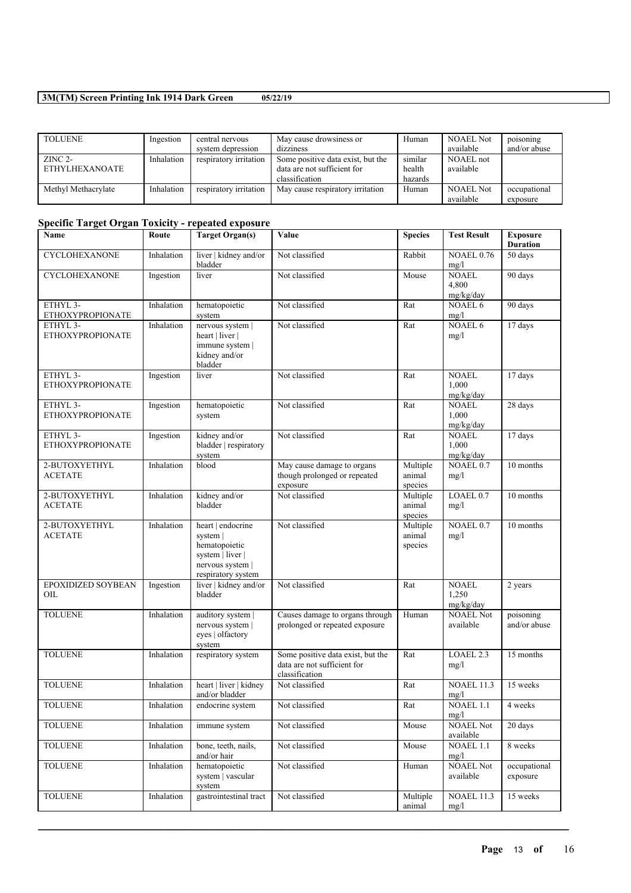| <b>TOLUENE</b>      | Ingestion  | central nervous        | May cause drowsiness or           | Human   | <b>NOAEL Not</b> | poisoning    |
|---------------------|------------|------------------------|-----------------------------------|---------|------------------|--------------|
|                     |            | system depression      | dizziness                         |         | available        | and/or abuse |
| $ZINC 2-$           | Inhalation | respiratory irritation | Some positive data exist, but the | similar | NOAEL not        |              |
| ETHYLHEXANOATE      |            |                        | data are not sufficient for       | health  | available        |              |
|                     |            |                        | classification                    | hazards |                  |              |
| Methyl Methacrylate | Inhalation | respiratory irritation | May cause respiratory irritation  | Human   | <b>NOAEL Not</b> | occupational |
|                     |            |                        |                                   |         | available        | exposure     |

# **Specific Target Organ Toxicity - repeated exposure**

| Name                                            | Route      | <b>Target Organ(s)</b>                                                                                       | Value                                                                              | <b>Species</b>                | <b>Test Result</b>                 | <b>Exposure</b><br><b>Duration</b> |
|-------------------------------------------------|------------|--------------------------------------------------------------------------------------------------------------|------------------------------------------------------------------------------------|-------------------------------|------------------------------------|------------------------------------|
| CYCLOHEXANONE                                   | Inhalation | liver   kidney and/or<br>bladder                                                                             | Not classified                                                                     | Rabbit                        | <b>NOAEL 0.76</b><br>mg/l          | 50 days                            |
| CYCLOHEXANONE                                   | Ingestion  | liver                                                                                                        | Not classified                                                                     | Mouse                         | <b>NOAEL</b><br>4.800<br>mg/kg/day | 90 days                            |
| ETHYL 3-<br><b>ETHOXYPROPIONATE</b>             | Inhalation | hematopoietic<br>system                                                                                      | Not classified                                                                     | Rat                           | NOAEL 6<br>mg/l                    | 90 days                            |
| ETHYL 3-<br><b>ETHOXYPROPIONATE</b>             | Inhalation | nervous system  <br>heart   liver  <br>immune system  <br>kidney and/or<br>bladder                           | Not classified                                                                     | Rat                           | <b>NOAEL 6</b><br>mg/l             | 17 days                            |
| ETHYL <sub>3</sub> -<br><b>ETHOXYPROPIONATE</b> | Ingestion  | liver                                                                                                        | Not classified                                                                     | Rat                           | <b>NOAEL</b><br>1,000<br>mg/kg/day | 17 days                            |
| ETHYL 3-<br><b>ETHOXYPROPIONATE</b>             | Ingestion  | hematopoietic<br>system                                                                                      | Not classified                                                                     | Rat                           | <b>NOAEL</b><br>1,000<br>mg/kg/day | 28 days                            |
| ETHYL 3-<br><b>ETHOXYPROPIONATE</b>             | Ingestion  | kidney and/or<br>bladder   respiratory<br>system                                                             | Not classified                                                                     | Rat                           | <b>NOAEL</b><br>1,000<br>mg/kg/day | 17 days                            |
| 2-BUTOXYETHYL<br><b>ACETATE</b>                 | Inhalation | blood                                                                                                        | May cause damage to organs<br>though prolonged or repeated<br>exposure             | Multiple<br>animal<br>species | NOAEL 0.7<br>mg/l                  | 10 months                          |
| 2-BUTOXYETHYL<br><b>ACETATE</b>                 | Inhalation | kidney and/or<br>bladder                                                                                     | Not classified                                                                     | Multiple<br>animal<br>species | LOAEL 0.7<br>mg/l                  | 10 months                          |
| 2-BUTOXYETHYL<br><b>ACETATE</b>                 | Inhalation | heart   endocrine<br>system  <br>hematopoietic<br>system   liver  <br>nervous system  <br>respiratory system | Not classified                                                                     | Multiple<br>animal<br>species | <b>NOAEL 0.7</b><br>mg/l           | 10 months                          |
| EPOXIDIZED SOYBEAN<br>OIL                       | Ingestion  | liver   kidney and/or<br>bladder                                                                             | Not classified                                                                     | Rat                           | <b>NOAEL</b><br>1,250<br>mg/kg/day | 2 years                            |
| <b>TOLUENE</b>                                  | Inhalation | auditory system  <br>nervous system  <br>eyes   olfactory<br>system                                          | Causes damage to organs through<br>prolonged or repeated exposure                  | Human                         | <b>NOAEL Not</b><br>available      | poisoning<br>and/or abuse          |
| <b>TOLUENE</b>                                  | Inhalation | respiratory system                                                                                           | Some positive data exist, but the<br>data are not sufficient for<br>classification | Rat                           | LOAEL 2.3<br>mg/l                  | 15 months                          |
| <b>TOLUENE</b>                                  | Inhalation | heart   liver   kidney<br>and/or bladder                                                                     | Not classified                                                                     | Rat                           | <b>NOAEL 11.3</b><br>mg/l          | 15 weeks                           |
| <b>TOLUENE</b>                                  | Inhalation | endocrine system                                                                                             | Not classified                                                                     | $\operatorname{Rat}$          | <b>NOAEL 1.1</b><br>mg/l           | 4 weeks                            |
| <b>TOLUENE</b>                                  | Inhalation | immune system                                                                                                | Not classified                                                                     | Mouse                         | <b>NOAEL Not</b><br>available      | 20 days                            |
| <b>TOLUENE</b>                                  | Inhalation | bone, teeth, nails,<br>and/or hair                                                                           | Not classified                                                                     | Mouse                         | NOAEL 1.1<br>mg/l                  | 8 weeks                            |
| <b>TOLUENE</b>                                  | Inhalation | hematopoietic<br>system   vascular<br>system                                                                 | Not classified                                                                     | Human                         | <b>NOAEL Not</b><br>available      | occupational<br>exposure           |
| <b>TOLUENE</b>                                  | Inhalation | gastrointestinal tract                                                                                       | Not classified                                                                     | Multiple<br>animal            | <b>NOAEL 11.3</b><br>mg/l          | 15 weeks                           |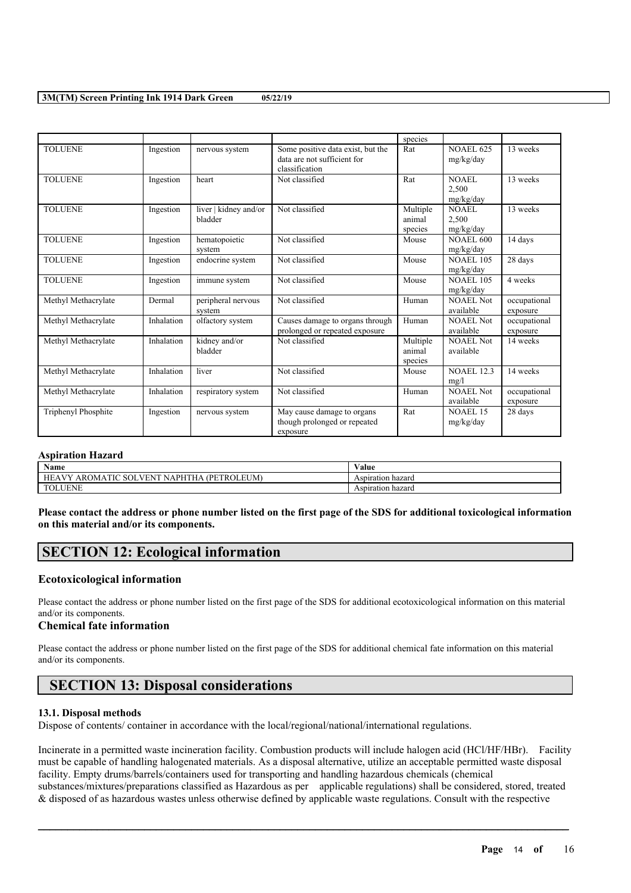|                     |            |                                  |                                                                                    | species                       |                               |                          |
|---------------------|------------|----------------------------------|------------------------------------------------------------------------------------|-------------------------------|-------------------------------|--------------------------|
| <b>TOLUENE</b>      | Ingestion  | nervous system                   | Some positive data exist, but the<br>data are not sufficient for<br>classification | Rat                           | <b>NOAEL 625</b><br>mg/kg/day | 13 weeks                 |
| <b>TOLUENE</b>      | Ingestion  | heart                            | Not classified                                                                     | Rat                           | NOAEL<br>2,500<br>mg/kg/day   | 13 weeks                 |
| <b>TOLUENE</b>      | Ingestion  | liver   kidney and/or<br>bladder | Not classified                                                                     | Multiple<br>animal<br>species | NOAEL.<br>2,500<br>mg/kg/day  | 13 weeks                 |
| <b>TOLUENE</b>      | Ingestion  | hematopoietic<br>system          | Not classified                                                                     | Mouse                         | <b>NOAEL 600</b><br>mg/kg/day | 14 days                  |
| <b>TOLUENE</b>      | Ingestion  | endocrine system                 | Not classified                                                                     | Mouse                         | <b>NOAEL 105</b><br>mg/kg/day | 28 days                  |
| <b>TOLUENE</b>      | Ingestion  | immune system                    | Not classified                                                                     | Mouse                         | <b>NOAEL 105</b><br>mg/kg/day | 4 weeks                  |
| Methyl Methacrylate | Dermal     | peripheral nervous<br>system     | Not classified                                                                     | Human                         | NOAEL Not<br>available        | occupational<br>exposure |
| Methyl Methacrylate | Inhalation | olfactory system                 | Causes damage to organs through<br>prolonged or repeated exposure                  | Human                         | <b>NOAEL Not</b><br>available | occupational<br>exposure |
| Methyl Methacrylate | Inhalation | kidney and/or<br>bladder         | Not classified                                                                     | Multiple<br>animal<br>species | <b>NOAEL Not</b><br>available | 14 weeks                 |
| Methyl Methacrylate | Inhalation | liver                            | Not classified                                                                     | Mouse                         | <b>NOAEL 12.3</b><br>mg/l     | 14 weeks                 |
| Methyl Methacrylate | Inhalation | respiratory system               | Not classified                                                                     | Human                         | NOAEL Not<br>available        | occupational<br>exposure |
| Triphenyl Phosphite | Ingestion  | nervous system                   | May cause damage to organs<br>though prolonged or repeated<br>exposure             | Rat                           | <b>NOAEL 15</b><br>mg/kg/day  | 28 days                  |

### **Aspiration Hazard**

| $\mathbf{X}$<br>Name                                                                  | <b>WY 3</b><br>⁄ alue  |
|---------------------------------------------------------------------------------------|------------------------|
| $\Gamma$<br>HЕ<br>. V V<br>. PI<br>--<br>AROMA<br>UС<br>ונזצו<br>٠н<br>V H N<br>.∪M ⊑ | ∙ hazar⊾<br>Aspiration |
| ∈N⊪                                                                                   | hazarc<br>Aspiration   |

Please contact the address or phone number listed on the first page of the SDS for additional toxicological information **on this material and/or its components.**

# **SECTION 12: Ecological information**

### **Ecotoxicological information**

Please contact the address or phone number listed on the first page of the SDS for additional ecotoxicological information on this material and/or its components.

### **Chemical fate information**

Please contact the address or phone number listed on the first page of the SDS for additional chemical fate information on this material and/or its components.

# **SECTION 13: Disposal considerations**

#### **13.1. Disposal methods**

Dispose of contents/ container in accordance with the local/regional/national/international regulations.

Incinerate in a permitted waste incineration facility. Combustion products will include halogen acid (HCl/HF/HBr). Facility must be capable of handling halogenated materials. As a disposal alternative, utilize an acceptable permitted waste disposal facility. Empty drums/barrels/containers used for transporting and handling hazardous chemicals (chemical substances/mixtures/preparations classified as Hazardous as per applicable regulations) shall be considered, stored, treated & disposed of as hazardous wastes unless otherwise defined by applicable waste regulations. Consult with the respective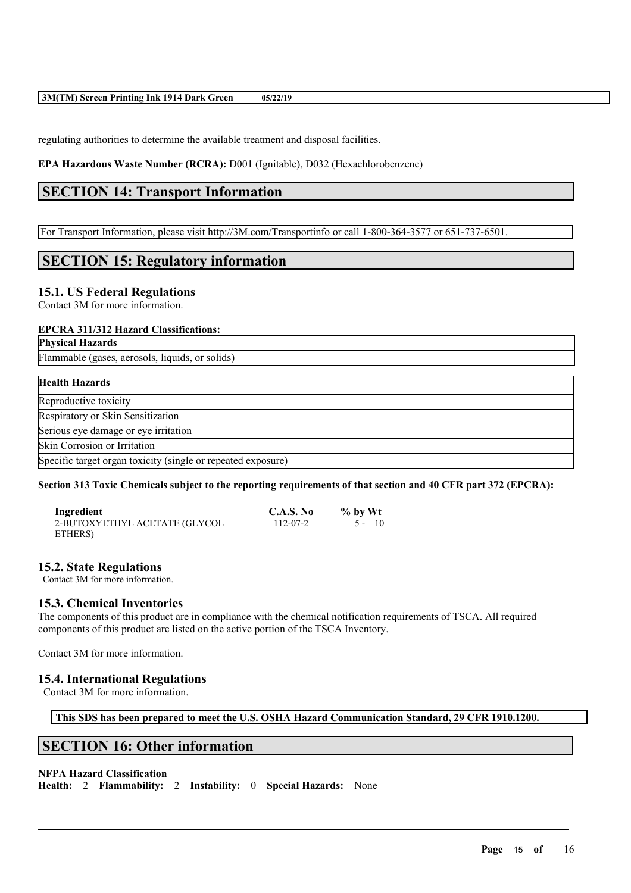regulating authorities to determine the available treatment and disposal facilities.

**EPA Hazardous Waste Number (RCRA):** D001 (Ignitable), D032 (Hexachlorobenzene)

# **SECTION 14: Transport Information**

For Transport Information, please visit http://3M.com/Transportinfo or call 1-800-364-3577 or 651-737-6501.

# **SECTION 15: Regulatory information**

### **15.1. US Federal Regulations**

Contact 3M for more information.

### **EPCRA 311/312 Hazard Classifications:**

#### **Physical Hazards**

Flammable (gases, aerosols, liquids, or solids)

## **Health Hazards**

| Reproductive toxicity             |  |
|-----------------------------------|--|
| Respiratory or Skin Sensitization |  |

Serious eye damage or eye irritation Skin Corrosion or Irritation

Specific target organ toxicity (single or repeated exposure)

### Section 313 Toxic Chemicals subject to the reporting requirements of that section and 40 CFR part 372 (EPCRA):

| Ingredient                    | C.A.S. No | $\%$ by Wt |
|-------------------------------|-----------|------------|
| 2-BUTOXYETHYL ACETATE (GLYCOL | 112-07-2  | 5 - 10     |
| ETHERS)                       |           |            |

## **15.2. State Regulations**

Contact 3M for more information.

## **15.3. Chemical Inventories**

The components of this product are in compliance with the chemical notification requirements of TSCA. All required components of this product are listed on the active portion of the TSCA Inventory.

Contact 3M for more information.

## **15.4. International Regulations**

Contact 3M for more information.

**This SDS has been prepared to meet the U.S. OSHA Hazard Communication Standard, 29 CFR 1910.1200.**

 $\mathcal{L}_\mathcal{L} = \mathcal{L}_\mathcal{L} = \mathcal{L}_\mathcal{L} = \mathcal{L}_\mathcal{L} = \mathcal{L}_\mathcal{L} = \mathcal{L}_\mathcal{L} = \mathcal{L}_\mathcal{L} = \mathcal{L}_\mathcal{L} = \mathcal{L}_\mathcal{L} = \mathcal{L}_\mathcal{L} = \mathcal{L}_\mathcal{L} = \mathcal{L}_\mathcal{L} = \mathcal{L}_\mathcal{L} = \mathcal{L}_\mathcal{L} = \mathcal{L}_\mathcal{L} = \mathcal{L}_\mathcal{L} = \mathcal{L}_\mathcal{L}$ 

# **SECTION 16: Other information**

### **NFPA Hazard Classification**

**Health:** 2 **Flammability:** 2 **Instability:** 0 **Special Hazards:** None